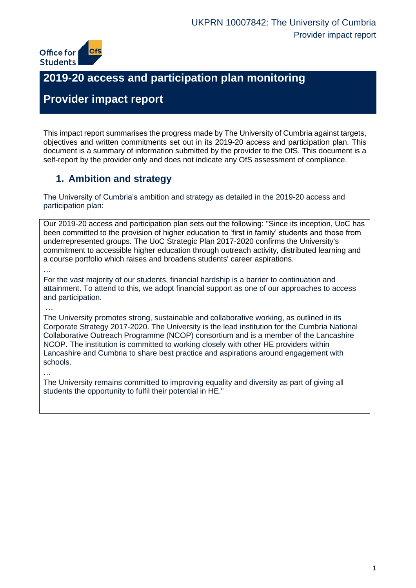

## **2019-20 access and participation plan monitoring**

## **Provider impact report**

This impact report summarises the progress made by The University of Cumbria against targets, objectives and written commitments set out in its 2019-20 access and participation plan. This document is a summary of information submitted by the provider to the OfS. This document is a self-report by the provider only and does not indicate any OfS assessment of compliance.

### **1. Ambition and strategy**

The University of Cumbria's ambition and strategy as detailed in the 2019-20 access and participation plan:

Our 2019-20 access and participation plan sets out the following: "Since its inception, UoC has been committed to the provision of higher education to 'first in family' students and those from underrepresented groups. The UoC Strategic Plan 2017-2020 confirms the University's commitment to accessible higher education through outreach activity, distributed learning and a course portfolio which raises and broadens students' career aspirations.

…

For the vast majority of our students, financial hardship is a barrier to continuation and attainment. To attend to this, we adopt financial support as one of our approaches to access and participation.

…

The University promotes strong, sustainable and collaborative working, as outlined in its Corporate Strategy 2017-2020. The University is the lead institution for the Cumbria National Collaborative Outreach Programme (NCOP) consortium and is a member of the Lancashire NCOP. The institution is committed to working closely with other HE providers within Lancashire and Cumbria to share best practice and aspirations around engagement with schools.

…

The University remains committed to improving equality and diversity as part of giving all students the opportunity to fulfil their potential in HE."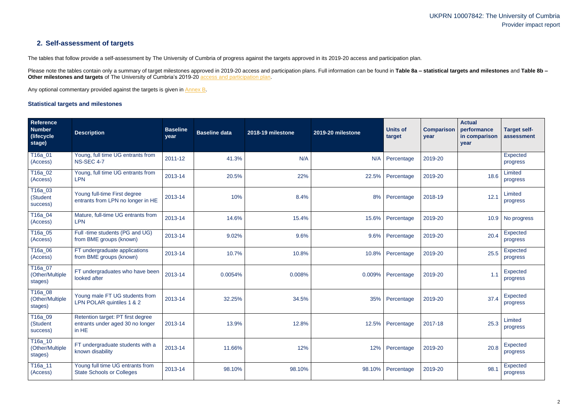### **2. Self-assessment of targets**

The tables that follow provide a self-assessment by The University of Cumbria of progress against the targets approved in its 2019-20 access and participation plan.

Please note the tables contain only a summary of target milestones approved in 2019-20 access and participation plans. Full information can be found in Table 8a – statistical targets and milestones and Table 8b – **Other milestones and targets** of The University of Cumbria's 2019-20 [access and participation plan.](https://www.officeforstudents.org.uk/advice-and-guidance/the-register/search-for-access-and-participation-plans/#/AccessPlans/)

Any optional commentary provided against the targets is given in [Annex B.](#page-12-0)

#### <span id="page-1-0"></span>**Statistical targets and milestones**

| Reference<br><b>Number</b><br>(lifecycle)<br>stage) | <b>Description</b>                                                             | <b>Baseline</b><br>year | <b>Baseline data</b> | 2018-19 milestone | 2019-20 milestone | <b>Units of</b><br>target | <b>Comparison</b><br>year | <b>Actual</b><br>performance<br>in comparison<br>year | <b>Target self-</b><br>assessment |
|-----------------------------------------------------|--------------------------------------------------------------------------------|-------------------------|----------------------|-------------------|-------------------|---------------------------|---------------------------|-------------------------------------------------------|-----------------------------------|
| T16a_01<br>(Access)                                 | Young, full time UG entrants from<br><b>NS-SEC 4-7</b>                         | 2011-12                 | 41.3%                | N/A               | N/A               | Percentage                | 2019-20                   |                                                       | <b>Expected</b><br>progress       |
| T16a_02<br>(Access)                                 | Young, full time UG entrants from<br><b>LPN</b>                                | 2013-14                 | 20.5%                | 22%               | 22.5%             | Percentage                | 2019-20                   | 18.6                                                  | Limited<br>progress               |
| $\overline{116a}$ _03<br>(Student<br>success)       | Young full-time First degree<br>entrants from LPN no longer in HE              | 2013-14                 | 10%                  | 8.4%              | 8%                | Percentage                | 2018-19                   | 12.1                                                  | Limited<br>progress               |
| T16a_04<br>(Access)                                 | Mature, full-time UG entrants from<br><b>LPN</b>                               | 2013-14                 | 14.6%                | 15.4%             | 15.6%             | Percentage                | 2019-20                   | 10.9                                                  | No progress                       |
| T16a_05<br>(Access)                                 | Full -time students (PG and UG)<br>from BME groups (known)                     | 2013-14                 | 9.02%                | 9.6%              | 9.6%              | Percentage                | 2019-20                   | 20.4                                                  | Expected<br>progress              |
| T16a_06<br>(Access)                                 | FT undergraduate applications<br>from BME groups (known)                       | 2013-14                 | 10.7%                | 10.8%             | 10.8%             | Percentage                | 2019-20                   | 25.5                                                  | <b>Expected</b><br>progress       |
| T16a_07<br>(Other/Multiple<br>stages)               | FT undergraduates who have been<br>looked after                                | 2013-14                 | 0.0054%              | 0.008%            | 0.009%            | Percentage                | 2019-20                   | 1.1                                                   | <b>Expected</b><br>progress       |
| T16a_08<br>(Other/Multiple<br>stages)               | Young male FT UG students from<br>LPN POLAR quintiles 1 & 2                    | 2013-14                 | 32.25%               | 34.5%             | 35%               | Percentage                | 2019-20                   | 37.4                                                  | Expected<br>progress              |
| T <sub>16a_09</sub><br>(Student<br>success)         | Retention target: PT first degree<br>entrants under aged 30 no longer<br>in HE | 2013-14                 | 13.9%                | 12.8%             | 12.5%             | Percentage                | 2017-18                   | 25.3                                                  | Limited<br>progress               |
| T16a_10<br>(Other/Multiple<br>stages)               | FT undergraduate students with a<br>known disability                           | 2013-14                 | 11.66%               | 12%               |                   | 12% Percentage            | 2019-20                   | 20.8                                                  | Expected<br>progress              |
| T16a_11<br>(Access)                                 | Young full time UG entrants from<br><b>State Schools or Colleges</b>           | 2013-14                 | 98.10%               | 98.10%            |                   | 98.10% Percentage         | 2019-20                   | 98.1                                                  | <b>Expected</b><br>progress       |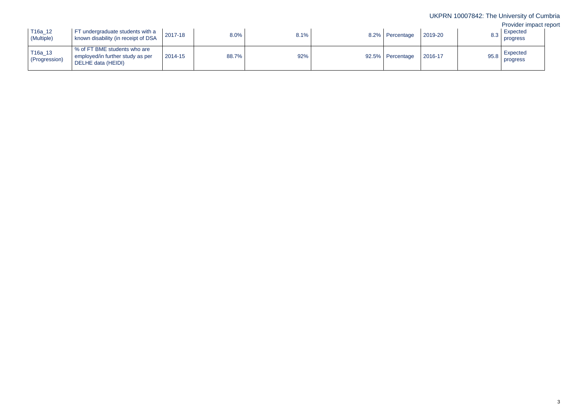## PRN 10007842: The University of Cumbria Provider impact report Expected progress Expected progress

| × |  |
|---|--|

| T16a_12<br>(Multiple)      | FT undergraduate students with a<br>known disability (in receipt of DSA                | 2017-18 | 8.0%  | 8.1% | 8.2% Percentage  | 2019-20 | 8.3  |
|----------------------------|----------------------------------------------------------------------------------------|---------|-------|------|------------------|---------|------|
| $T16a_13$<br>(Progression) | % of FT BME students who are<br>employed/in further study as per<br>DELHE data (HEIDI) | 2014-15 | 88.7% | 92%  | 92.5% Percentage | 2016-17 | 95.8 |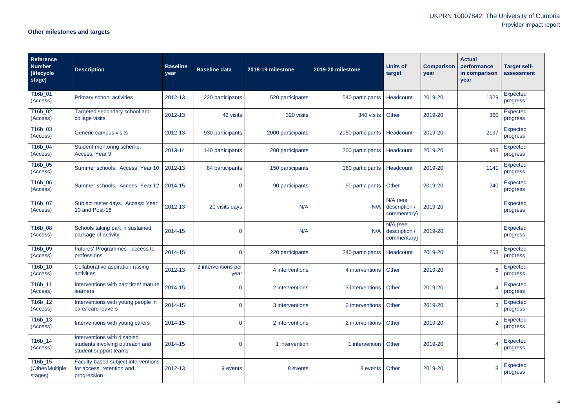## **Other milestones and targets**

| <b>Reference</b><br><b>Number</b><br>(lifecycle<br>stage) | <b>Description</b>                                                                      | <b>Baseline</b><br>year | <b>Baseline data</b>        | 2018-19 milestone | 2019-20 milestone | <b>Units of</b><br>target              | <b>Comparison</b><br>year | <b>Actual</b><br>performance<br>in comparison<br>year | <b>Target self-</b><br>assessment |
|-----------------------------------------------------------|-----------------------------------------------------------------------------------------|-------------------------|-----------------------------|-------------------|-------------------|----------------------------------------|---------------------------|-------------------------------------------------------|-----------------------------------|
| T16b_01<br>(Access)                                       | Primary school activities                                                               | 2012-13                 | 220 participants            | 520 participants  | 540 participants  | Headcount                              | 2019-20                   | 1329                                                  | Expected<br>progress              |
| T16b_02<br>(Access)                                       | Targeted secondary school and<br>college visits                                         | 2012-13                 | 42 visits                   | 320 visits        | 340 visits        | Other                                  | 2019-20                   | 360                                                   | Expected<br>progress              |
| T16b_03<br>(Access)                                       | Generic campus visits                                                                   | 2012-13                 | 930 participants            | 2000 participants | 2050 participants | Headcount                              | 2019-20                   | 2197                                                  | Expected<br>progress              |
| T16b_04<br>(Access)                                       | Student mentoring scheme.<br>Access: Year 9                                             | 2013-14                 | 140 participants            | 200 participants  | 200 participants  | Headcount                              | 2019-20                   | 983                                                   | Expected<br>progress              |
| T16b_05<br>(Access)                                       | Summer schools. Access: Year 10                                                         | 2012-13                 | 84 participants             | 150 participants  | 160 participants  | Headcount                              | 2019-20                   | 1141                                                  | Expected<br>progress              |
| T16b_06<br>(Access)                                       | Summer schools. Access: Year 12                                                         | 2014-15                 | $\mathbf 0$                 | 90 participants   | 90 participants   | Other                                  | 2019-20                   | 240                                                   | Expected<br>progress              |
| T16b_07<br>(Access)                                       | Subject taster days. Access: Year<br>10 and Post-16                                     | 2012-13                 | 20 visits days              | N/A               | N/A               | N/A (see<br>description<br>commentary) | 2019-20                   |                                                       | <b>Expected</b><br>progress       |
| T16b_08<br>(Access)                                       | Schools taking part in sustained<br>package of activity                                 | 2014-15                 | $\mathbf 0$                 | N/A               | N/A               | N/A (see<br>description<br>commentary) | 2019-20                   |                                                       | Expected<br>progress              |
| T16b_09<br>(Access)                                       | Futures' Programmes - access to<br>professions                                          | 2014-15                 | $\overline{0}$              | 220 participants  | 240 participants  | Headcount                              | 2019-20                   | 258                                                   | <b>Expected</b><br>progress       |
| T16b_10<br>(Access)                                       | Collaborative aspiration raising<br>activities                                          | 2012-13                 | 2 interventions per<br>year | 4 interventions   | 4 interventions   | Other                                  | 2019-20                   | 6                                                     | <b>Expected</b><br>progress       |
| T16b_11<br>(Access)                                       | Interventions with part time/ mature<br>learners                                        | 2014-15                 | $\overline{0}$              | 2 interventions   | 3 interventions   | Other                                  | 2019-20                   |                                                       | <b>Expected</b><br>progress       |
| T16b_12<br>(Access)                                       | Interventions with young people in<br>care/ care leavers                                | 2014-15                 | $\overline{0}$              | 3 interventions   | 3 interventions   | Other                                  | 2019-20                   | 3                                                     | Expected<br>progress              |
| T16b_13<br>(Access)                                       | Interventions with young carers                                                         | 2014-15                 | $\overline{0}$              | 2 interventions   | 2 interventions   | Other                                  | 2019-20                   |                                                       | Expected<br>progress              |
| T16b_14<br>(Access)                                       | Interventions with disabled<br>students involving outreach and<br>student support teams | 2014-15                 | $\overline{0}$              | 1 intervention    | 1 intervention    | Other                                  | 2019-20                   |                                                       | <b>Expected</b><br>progress       |
| T16b_15<br>(Other/Multiple<br>stages)                     | Faculty based subject interventions<br>for access, retention and<br>progression         | 2012-13                 | 9 events                    | 8 events          | 8 events          | Other                                  | 2019-20                   | 8                                                     | Expected<br>progress              |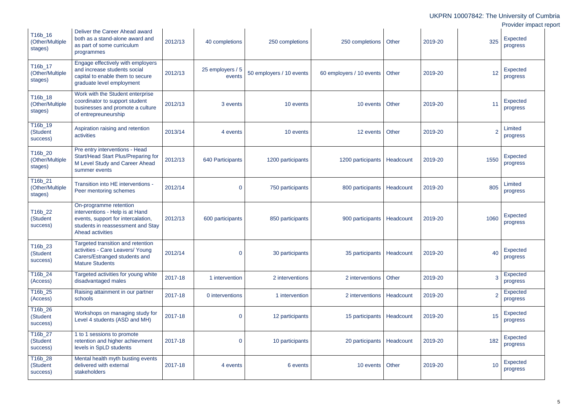|                                       |                                                                                                                                                          |         |                            |                          |                               |           |         |      | UKPRN 10007842: The University of Cumbria<br>Provider impact report |
|---------------------------------------|----------------------------------------------------------------------------------------------------------------------------------------------------------|---------|----------------------------|--------------------------|-------------------------------|-----------|---------|------|---------------------------------------------------------------------|
| T16b_16<br>(Other/Multiple<br>stages) | Deliver the Career Ahead award<br>both as a stand-alone award and<br>as part of some curriculum<br>programmes                                            | 2012/13 | 40 completions             | 250 completions          | 250 completions   Other       |           | 2019-20 | 325  | <b>Expected</b><br>progress                                         |
| T16b_17<br>(Other/Multiple<br>stages) | Engage effectively with employers<br>and increase students social<br>capital to enable them to secure<br>graduate level employment                       | 2012/13 | 25 employers / 5<br>events | 50 employers / 10 events | 60 employers / 10 events      | Other     | 2019-20 | 12   | Expected<br>progress                                                |
| T16b_18<br>(Other/Multiple<br>stages) | Work with the Student enterprise<br>coordinator to support student<br>businesses and promote a culture<br>of entrepreuneurship                           | 2012/13 | 3 events                   | 10 events                | 10 events Other               |           | 2019-20 | 11   | <b>Expected</b><br>progress                                         |
| T16b_19<br>(Student<br>success)       | Aspiration raising and retention<br>activities                                                                                                           | 2013/14 | 4 events                   | 10 events                | 12 events Other               |           | 2019-20 | 2    | Limited<br>progress                                                 |
| T16b_20<br>(Other/Multiple<br>stages) | Pre entry interventions - Head<br>Start/Head Start Plus/Preparing for<br>M Level Study and Career Ahead<br>summer events                                 | 2012/13 | 640 Participants           | 1200 participants        | 1200 participants   Headcount |           | 2019-20 | 1550 | <b>Expected</b><br>progress                                         |
| T16b_21<br>(Other/Multiple<br>stages) | Transition into HE interventions -<br>Peer mentoring schemes                                                                                             | 2012/14 | $\overline{0}$             | 750 participants         | 800 participants              | Headcount | 2019-20 | 805  | Limited<br>progress                                                 |
| T16b_22<br>(Student<br>success)       | On-programme retention<br>interventions - Help is at Hand<br>events, support for intercalation,<br>students in reassessment and Stay<br>Ahead activities | 2012/13 | 600 participants           | 850 participants         | 900 participants              | Headcount | 2019-20 | 1060 | Expected<br>progress                                                |
| T16b_23<br>(Student<br>success)       | Targeted transition and retention<br>activities - Care Leavers/ Young<br>Carers/Estranged students and<br><b>Mature Students</b>                         | 2012/14 | $\overline{0}$             | 30 participants          | 35 participants   Headcount   |           | 2019-20 | 40   | Expected<br>progress                                                |
| T16b_24<br>(Access)                   | Targeted activities for young white<br>disadvantaged males                                                                                               | 2017-18 | 1 intervention             | 2 interventions          | 2 interventions               | Other     | 2019-20 | 3    | Expected<br>progress                                                |
| T16b_25<br>(Access)                   | Raising attainment in our partner<br>schools                                                                                                             | 2017-18 | 0 interventions            | 1 intervention           | 2 interventions               | Headcount | 2019-20 | 2    | Expected<br>progress                                                |
| T16b_26<br>(Student<br>success)       | Workshops on managing study for<br>Level 4 students (ASD and MH)                                                                                         | 2017-18 | $\overline{0}$             | 12 participants          | 15 participants               | Headcount | 2019-20 | 15   | Expected<br>progress                                                |
| T16b_27<br>(Student<br>success)       | 1 to 1 sessions to promote<br>retention and higher achievment<br>levels in SpLD students                                                                 | 2017-18 | $\overline{0}$             | 10 participants          | 20 participants   Headcount   |           | 2019-20 | 182  | Expected<br>progress                                                |
| T16b_28<br>(Student<br>success)       | Mental health myth busting events<br>delivered with external<br>stakeholders                                                                             | 2017-18 | 4 events                   | 6 events                 | 10 events Other               |           | 2019-20 | 10   | <b>Expected</b><br>progress                                         |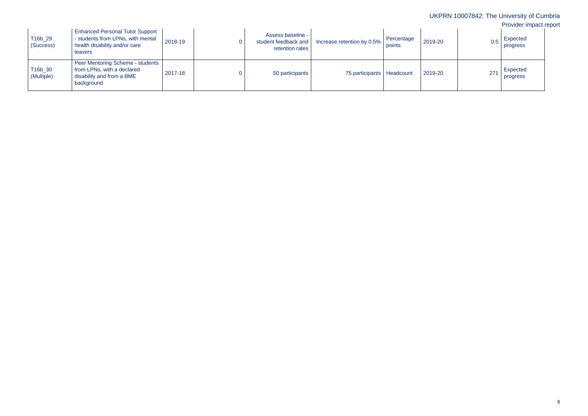| ×<br>۰. |
|---------|
|---------|

| T16b_29<br>(Success)  | <b>Enhanced Personal Tutor Support</b><br>- students from LPNs, with mental<br>health disability and/or care<br>leavers | 2018-19 | Assess baseline -<br>student feedback and<br>retention rates | Increase retention by 0.5%  | Percentage<br>points | 2019-20 |     | Expected<br>progress |
|-----------------------|-------------------------------------------------------------------------------------------------------------------------|---------|--------------------------------------------------------------|-----------------------------|----------------------|---------|-----|----------------------|
| T16b_30<br>(Multiple) | Peer Mentoring Scheme - students<br>from LPNs, with a declared<br>disability and from a BME<br>background               | 2017-18 | 50 participants                                              | 75 participants   Headcount |                      | 2019-20 | 271 | Expected<br>progress |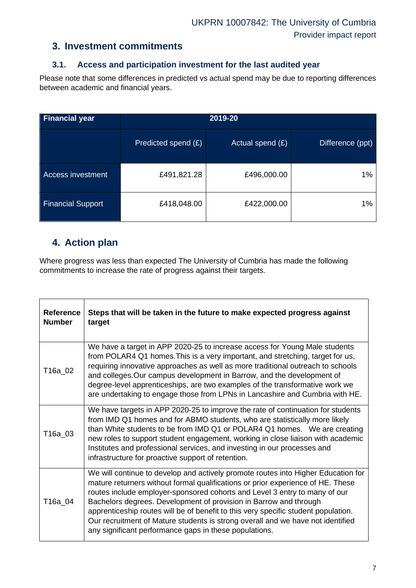#### **3. Investment commitments**

#### **3.1. Access and participation investment for the last audited year**

Please note that some differences in predicted vs actual spend may be due to reporting differences between academic and financial years.

| <b>Financial year</b>    | 2019-20             |                    |                  |  |  |  |
|--------------------------|---------------------|--------------------|------------------|--|--|--|
|                          | Predicted spend (£) | Actual spend $(E)$ | Difference (ppt) |  |  |  |
| <b>Access investment</b> | £491,821.28         | £496,000.00        | 1%               |  |  |  |
| <b>Financial Support</b> | £418,048.00         | £422,000.00        | 1%               |  |  |  |

### **4. Action plan**

Where progress was less than expected The University of Cumbria has made the following commitments to increase the rate of progress against their targets.

| <b>Reference</b><br><b>Number</b> | Steps that will be taken in the future to make expected progress against<br>target                                                                                                                                                                                                                                                                                                                                                                                                                                                                         |
|-----------------------------------|------------------------------------------------------------------------------------------------------------------------------------------------------------------------------------------------------------------------------------------------------------------------------------------------------------------------------------------------------------------------------------------------------------------------------------------------------------------------------------------------------------------------------------------------------------|
| T16a_02                           | We have a target in APP 2020-25 to increase access for Young Male students<br>from POLAR4 Q1 homes. This is a very important, and stretching, target for us,<br>requiring innovative approaches as well as more traditional outreach to schools<br>and colleges. Our campus development in Barrow, and the development of<br>degree-level apprenticeships, are two examples of the transformative work we<br>are undertaking to engage those from LPNs in Lancashire and Cumbria with HE.                                                                  |
| T16a_03                           | We have targets in APP 2020-25 to improve the rate of continuation for students<br>from IMD Q1 homes and for ABMO students, who are statistically more likely<br>than White students to be from IMD Q1 or POLAR4 Q1 homes. We are creating<br>new roles to support student engagement, working in close liaison with academic<br>Institutes and professional services, and investing in our processes and<br>infrastructure for proactive support of retention.                                                                                            |
| T16a_04                           | We will continue to develop and actively promote routes into Higher Education for<br>mature returners without formal qualifications or prior experience of HE. These<br>routes include employer-sponsored cohorts and Level 3 entry to many of our<br>Bachelors degrees. Development of provision in Barrow and through<br>apprenticeship routes will be of benefit to this very specific student population.<br>Our recruitment of Mature students is strong overall and we have not identified<br>any significant performance gaps in these populations. |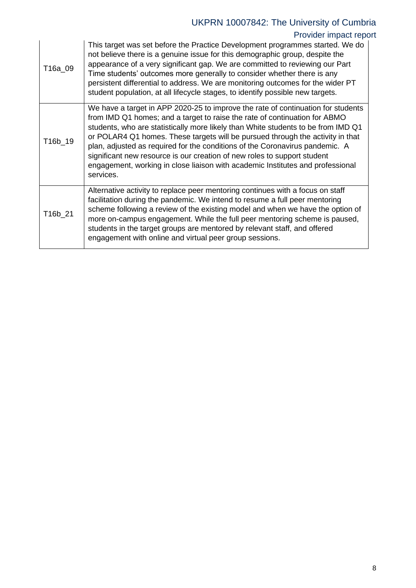# UKPRN 10007842: The University of Cumbria

## Provider impact report

| T16a 09 | This target was set before the Practice Development programmes started. We do<br>not believe there is a genuine issue for this demographic group, despite the<br>appearance of a very significant gap. We are committed to reviewing our Part<br>Time students' outcomes more generally to consider whether there is any<br>persistent differential to address. We are monitoring outcomes for the wider PT<br>student population, at all lifecycle stages, to identify possible new targets.                                                                                                    |
|---------|--------------------------------------------------------------------------------------------------------------------------------------------------------------------------------------------------------------------------------------------------------------------------------------------------------------------------------------------------------------------------------------------------------------------------------------------------------------------------------------------------------------------------------------------------------------------------------------------------|
| T16b_19 | We have a target in APP 2020-25 to improve the rate of continuation for students<br>from IMD Q1 homes; and a target to raise the rate of continuation for ABMO<br>students, who are statistically more likely than White students to be from IMD Q1<br>or POLAR4 Q1 homes. These targets will be pursued through the activity in that<br>plan, adjusted as required for the conditions of the Coronavirus pandemic. A<br>significant new resource is our creation of new roles to support student<br>engagement, working in close liaison with academic Institutes and professional<br>services. |
| T16b_21 | Alternative activity to replace peer mentoring continues with a focus on staff<br>facilitation during the pandemic. We intend to resume a full peer mentoring<br>scheme following a review of the existing model and when we have the option of<br>more on-campus engagement. While the full peer mentoring scheme is paused,<br>students in the target groups are mentored by relevant staff, and offered<br>engagement with online and virtual peer group sessions.                                                                                                                            |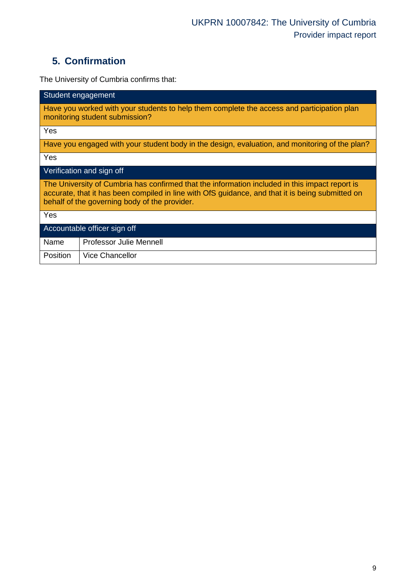## **5. Confirmation**

The University of Cumbria confirms that:

| Student engagement                                                                                                                                                                                                                                  |  |  |  |  |  |
|-----------------------------------------------------------------------------------------------------------------------------------------------------------------------------------------------------------------------------------------------------|--|--|--|--|--|
| Have you worked with your students to help them complete the access and participation plan<br>monitoring student submission?                                                                                                                        |  |  |  |  |  |
| Yes                                                                                                                                                                                                                                                 |  |  |  |  |  |
| Have you engaged with your student body in the design, evaluation, and monitoring of the plan?                                                                                                                                                      |  |  |  |  |  |
| Yes                                                                                                                                                                                                                                                 |  |  |  |  |  |
| Verification and sign off                                                                                                                                                                                                                           |  |  |  |  |  |
| The University of Cumbria has confirmed that the information included in this impact report is<br>accurate, that it has been compiled in line with OfS guidance, and that it is being submitted on<br>behalf of the governing body of the provider. |  |  |  |  |  |
| Yes                                                                                                                                                                                                                                                 |  |  |  |  |  |
| Accountable officer sign off                                                                                                                                                                                                                        |  |  |  |  |  |
| Name<br><b>Professor Julie Mennell</b>                                                                                                                                                                                                              |  |  |  |  |  |
| <b>Vice Chancellor</b><br>Position                                                                                                                                                                                                                  |  |  |  |  |  |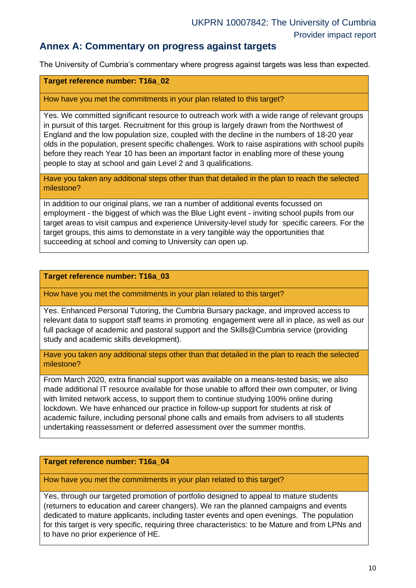#### **Annex A: Commentary on progress against targets**

The University of Cumbria's commentary where progress against targets was less than expected.

#### **Target reference number: T16a\_02**

How have you met the commitments in your plan related to this target?

Yes. We committed significant resource to outreach work with a wide range of relevant groups in pursuit of this target. Recruitment for this group is largely drawn from the Northwest of England and the low population size, coupled with the decline in the numbers of 18-20 year olds in the population, present specific challenges. Work to raise aspirations with school pupils before they reach Year 10 has been an important factor in enabling more of these young people to stay at school and gain Level 2 and 3 qualifications.

Have you taken any additional steps other than that detailed in the plan to reach the selected milestone?

In addition to our original plans, we ran a number of additional events focussed on employment - the biggest of which was the Blue Light event - inviting school pupils from our target areas to visit campus and experience University-level study for specific careers. For the target groups, this aims to demonstate in a very tangible way the opportunities that succeeding at school and coming to University can open up.

#### **Target reference number: T16a\_03**

How have you met the commitments in your plan related to this target?

Yes. Enhanced Personal Tutoring, the Cumbria Bursary package, and improved access to relevant data to support staff teams in promoting engagement were all in place, as well as our full package of academic and pastoral support and the Skills@Cumbria service (providing study and academic skills development).

Have you taken any additional steps other than that detailed in the plan to reach the selected milestone?

From March 2020, extra financial support was available on a means-tested basis; we also made additional IT resource available for those unable to afford their own computer, or living with limited network access, to support them to continue studying 100% online during lockdown. We have enhanced our practice in follow-up support for students at risk of academic failure, including personal phone calls and emails from advisers to all students undertaking reassessment or deferred assessment over the summer months.

#### **Target reference number: T16a\_04**

How have you met the commitments in your plan related to this target?

Yes, through our targeted promotion of portfolio designed to appeal to mature students (returners to education and career changers). We ran the planned campaigns and events dedicated to mature applicants, including taster events and open evenings. The population for this target is very specific, requiring three characteristics: to be Mature and from LPNs and to have no prior experience of HE.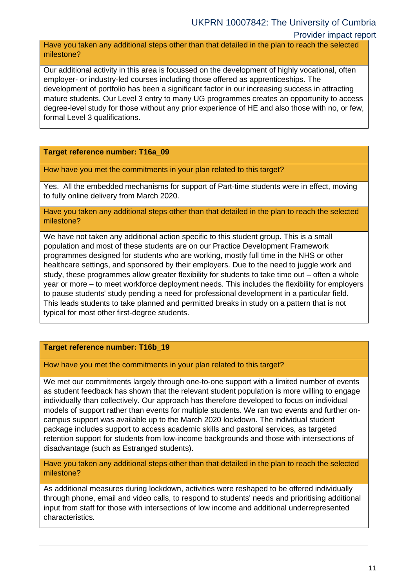#### Provider impact report

Have you taken any additional steps other than that detailed in the plan to reach the selected milestone?

Our additional activity in this area is focussed on the development of highly vocational, often employer- or industry-led courses including those offered as apprenticeships. The development of portfolio has been a significant factor in our increasing success in attracting mature students. Our Level 3 entry to many UG programmes creates an opportunity to access degree-level study for those without any prior experience of HE and also those with no, or few, formal Level 3 qualifications.

**Target reference number: T16a\_09**

How have you met the commitments in your plan related to this target?

Yes. All the embedded mechanisms for support of Part-time students were in effect, moving to fully online delivery from March 2020.

Have you taken any additional steps other than that detailed in the plan to reach the selected milestone?

We have not taken any additional action specific to this student group. This is a small population and most of these students are on our Practice Development Framework programmes designed for students who are working, mostly full time in the NHS or other healthcare settings, and sponsored by their employers. Due to the need to juggle work and study, these programmes allow greater flexibility for students to take time out – often a whole year or more – to meet workforce deployment needs. This includes the flexibility for employers to pause students' study pending a need for professional development in a particular field. This leads students to take planned and permitted breaks in study on a pattern that is not typical for most other first-degree students.

#### **Target reference number: T16b\_19**

How have you met the commitments in your plan related to this target?

We met our commitments largely through one-to-one support with a limited number of events as student feedback has shown that the relevant student population is more willing to engage individually than collectively. Our approach has therefore developed to focus on individual models of support rather than events for multiple students. We ran two events and further oncampus support was available up to the March 2020 lockdown. The individual student package includes support to access academic skills and pastoral services, as targeted retention support for students from low-income backgrounds and those with intersections of disadvantage (such as Estranged students).

Have you taken any additional steps other than that detailed in the plan to reach the selected milestone?

As additional measures during lockdown, activities were reshaped to be offered individually through phone, email and video calls, to respond to students' needs and prioritising additional input from staff for those with intersections of low income and additional underrepresented characteristics.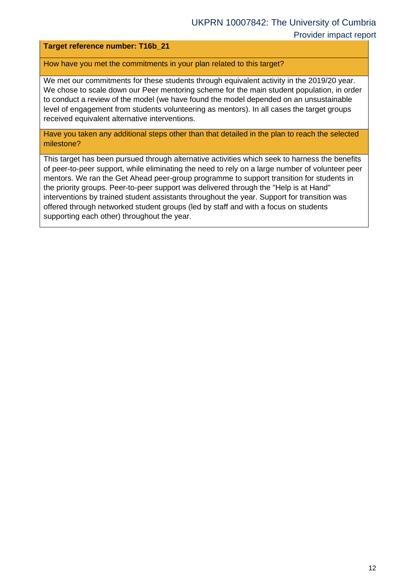#### **Target reference number: T16b\_21**

How have you met the commitments in your plan related to this target?

We met our commitments for these students through equivalent activity in the 2019/20 year. We chose to scale down our Peer mentoring scheme for the main student population, in order to conduct a review of the model (we have found the model depended on an unsustainable level of engagement from students volunteering as mentors). In all cases the target groups received equivalent alternative interventions.

Have you taken any additional steps other than that detailed in the plan to reach the selected milestone?

This target has been pursued through alternative activities which seek to harness the benefits of peer-to-peer support, while eliminating the need to rely on a large number of volunteer peer mentors. We ran the Get Ahead peer-group programme to support transition for students in the priority groups. Peer-to-peer support was delivered through the "Help is at Hand" interventions by trained student assistants throughout the year. Support for transition was offered through networked student groups (led by staff and with a focus on students supporting each other) throughout the year.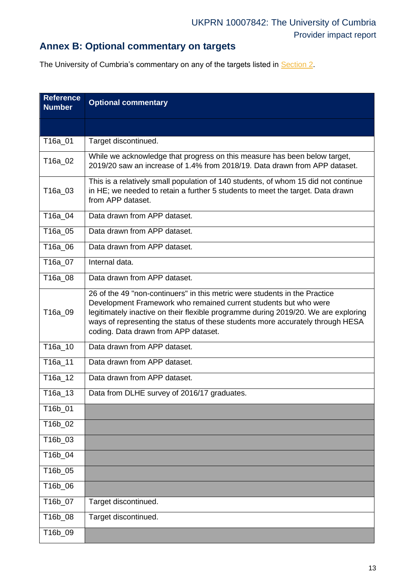## **Annex B: Optional commentary on targets**

The University of Cumbria's commentary on any of the targets listed in [Section 2.](#page-1-0)

<span id="page-12-0"></span>

| <b>Reference</b><br><b>Number</b> | <b>Optional commentary</b>                                                                                                                                                                                                                                                                                                                                     |
|-----------------------------------|----------------------------------------------------------------------------------------------------------------------------------------------------------------------------------------------------------------------------------------------------------------------------------------------------------------------------------------------------------------|
|                                   |                                                                                                                                                                                                                                                                                                                                                                |
| T16a 01                           | Target discontinued.                                                                                                                                                                                                                                                                                                                                           |
| T16a_02                           | While we acknowledge that progress on this measure has been below target,<br>2019/20 saw an increase of 1.4% from 2018/19. Data drawn from APP dataset.                                                                                                                                                                                                        |
| T16a_03                           | This is a relatively small population of 140 students, of whom 15 did not continue<br>in HE; we needed to retain a further 5 students to meet the target. Data drawn<br>from APP dataset.                                                                                                                                                                      |
| T16a_04                           | Data drawn from APP dataset.                                                                                                                                                                                                                                                                                                                                   |
| T16a_05                           | Data drawn from APP dataset.                                                                                                                                                                                                                                                                                                                                   |
| T16a_06                           | Data drawn from APP dataset.                                                                                                                                                                                                                                                                                                                                   |
| T16a_07                           | Internal data.                                                                                                                                                                                                                                                                                                                                                 |
| T16a_08                           | Data drawn from APP dataset.                                                                                                                                                                                                                                                                                                                                   |
| T16a_09                           | 26 of the 49 "non-continuers" in this metric were students in the Practice<br>Development Framework who remained current students but who were<br>legitimately inactive on their flexible programme during 2019/20. We are exploring<br>ways of representing the status of these students more accurately through HESA<br>coding. Data drawn from APP dataset. |
| T16a_10                           | Data drawn from APP dataset.                                                                                                                                                                                                                                                                                                                                   |
| T16a_11                           | Data drawn from APP dataset.                                                                                                                                                                                                                                                                                                                                   |
| T16a_12                           | Data drawn from APP dataset.                                                                                                                                                                                                                                                                                                                                   |
| T16a_13                           | Data from DLHE survey of 2016/17 graduates.                                                                                                                                                                                                                                                                                                                    |
| T16b_01                           |                                                                                                                                                                                                                                                                                                                                                                |
| T16b_02                           |                                                                                                                                                                                                                                                                                                                                                                |
| T16b_03                           |                                                                                                                                                                                                                                                                                                                                                                |
| T16b_04                           |                                                                                                                                                                                                                                                                                                                                                                |
| T16b_05                           |                                                                                                                                                                                                                                                                                                                                                                |
| T16b_06                           |                                                                                                                                                                                                                                                                                                                                                                |
| T16b_07                           | Target discontinued.                                                                                                                                                                                                                                                                                                                                           |
| T16b_08                           | Target discontinued.                                                                                                                                                                                                                                                                                                                                           |
| T16b_09                           |                                                                                                                                                                                                                                                                                                                                                                |